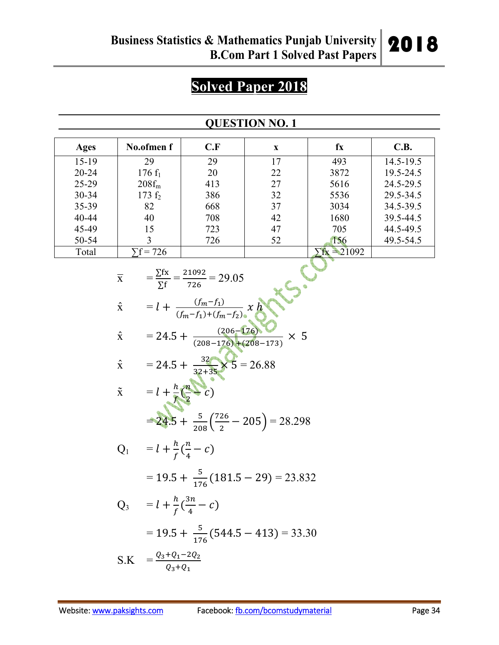# **Solved Paper 2018**

## **QUESTION NO. 1**

| Ages      | No.ofmen f     | C.F | X  | fx                | C.B.      |
|-----------|----------------|-----|----|-------------------|-----------|
| $15-19$   | 29             | 29  | 17 | 493               | 14.5-19.5 |
| $20 - 24$ | $176 f_1$      | 20  | 22 | 3872              | 19.5-24.5 |
| $25-29$   | $208f_m$       | 413 | 27 | 5616              | 24.5-29.5 |
| $30 - 34$ | 173 $f_2$      | 386 | 32 | 5536              | 29.5-34.5 |
| 35-39     | 82             | 668 | 37 | 3034              | 34.5-39.5 |
| 40-44     | 40             | 708 | 42 | 1680              | 39.5-44.5 |
| 45-49     | 15             | 723 | 47 | 705               | 44.5-49.5 |
| 50-54     |                | 726 | 52 | 156               | 49.5-54.5 |
| Total     | $\sum f = 726$ |     |    | $\triangle 21092$ |           |

| $\overline{\mathbf{X}}$ | $=\frac{\sum fx}{\sum f}=\frac{21092}{726}=29.05$         |
|-------------------------|-----------------------------------------------------------|
| $\hat{\mathbf{x}}$      | $= l + \frac{(f_m - f_1)}{(f_m - f_1) + (f_m - f_2)} x h$ |
| $\hat{\mathbf{x}}$      | $= 24.5 + \frac{(206-176)}{(208-176)+(208-173)} \times 5$ |
| $\hat{\mathbf{x}}$      | = 24.5 + $\frac{32}{32+35}$ × 5 = 26.88                   |
| $\tilde{\mathbf{x}}$    | $= l + \frac{h}{f} (\frac{n}{2} - c)$                     |
|                         | $= 24.5 + \frac{5}{208} (\frac{726}{2} - 205) = 28.298$   |
|                         | $Q_1 = l + \frac{h}{f}(\frac{n}{4} - c)$                  |
|                         | $= 19.5 + \frac{5}{176}(181.5 - 29) = 23.832$             |
|                         | $Q_3 = l + \frac{h}{f}(\frac{3n}{4} - c)$                 |
|                         | $=$ 19.5 + $\frac{5}{176}$ (544.5 – 413) = 33.30          |

$$
S.K = \frac{Q_3 + Q_1 - 2Q_2}{Q_3 + Q_1}
$$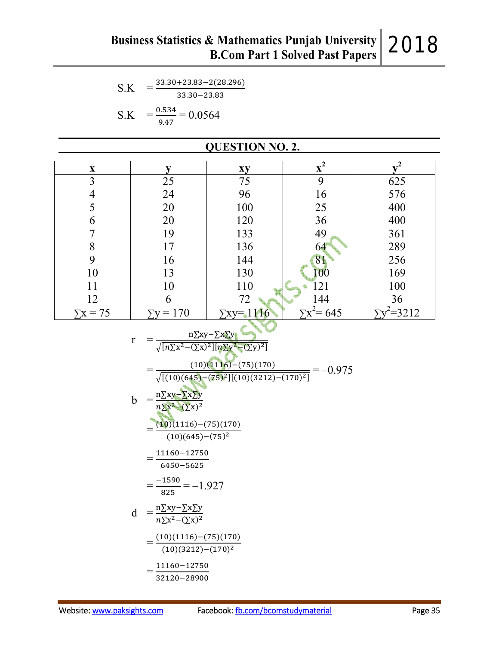$S.K = \frac{33.30 + 23.83 - 2(28.296)}{33.30 - 33.93}$  $33.30 - 23.83$  $S.K$  $=$  $\frac{0.534}{0.0564}$ 

$$
K = \frac{1}{9.47} = 0.0564
$$

| <b>QUESTION NO. 2.</b> |                  |                  |                  |         |  |  |  |
|------------------------|------------------|------------------|------------------|---------|--|--|--|
| $\mathbf{X}$           | V                | xy               | $\overline{x^2}$ |         |  |  |  |
| 3                      | 25               | 75               | 9                | 625     |  |  |  |
| 4                      | 24               | 96               | 16               | 576     |  |  |  |
| 5                      | 20               | 100              | 25               | 400     |  |  |  |
| 6                      | 20               | 120              | 36               | 400     |  |  |  |
|                        | 19               | 133              | 49               | 361     |  |  |  |
| 8                      | 17               | 136              | 64               | 289     |  |  |  |
| 9                      | 16               | 144              | 81               | 256     |  |  |  |
| 10                     | 13               | 130              | $ 00\rangle$     | 169     |  |  |  |
| 11                     | 10               | 110              | 121              | 100     |  |  |  |
| 12                     | 6                | 72               | 144              | 36      |  |  |  |
| $\Sigma x = 75$        | $\Sigma y = 170$ | $\Sigma$ xy=1116 | $x^2 = 645$      | $=3212$ |  |  |  |
|                        |                  |                  |                  |         |  |  |  |

$$
r = \frac{n\sum xy - \sum x \sum y}{\sqrt{[n\sum x^2 - (\sum x)^2][n\sum y^2 - (\sum y)^2]}}
$$
  
= 
$$
\frac{(10)(1116) - (75)(170)}{\sqrt{[(10)(645) - (75)^2][(10)(3212) - (170)^2]}} = -0.975
$$
  

$$
b = \frac{n\sum xy - \sum x \sum y}{n\sum x^2 - (\sum x)^2}
$$
  
= 
$$
\frac{(10)(1116) - (75)(170)}{(10)(645) - (75)^2}
$$
  
= 
$$
\frac{11160 - 12750}{6450 - 5625}
$$

$$
=\frac{-1590}{825}=-1.927
$$

$$
d = \frac{n\sum xy - \sum x \sum y}{n\sum x^2 - (\sum x)^2}
$$
  
= 
$$
\frac{(10)(1116) - (75)(170)}{(10)(3212) - (170)^2}
$$
  
= 
$$
\frac{11160 - 12750}{32120 - 28900}
$$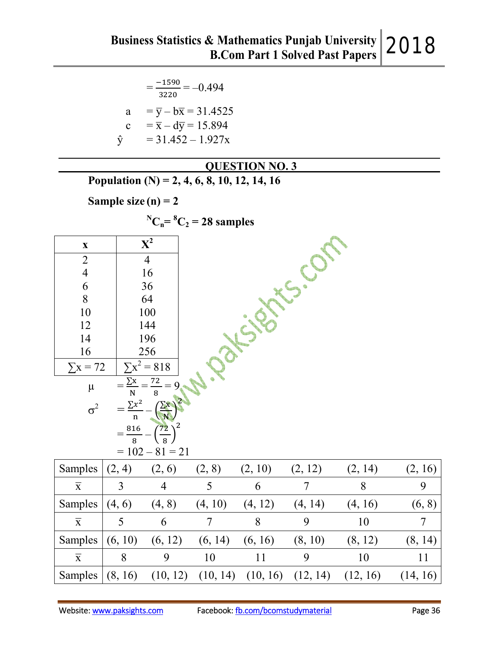|              | $=\frac{-1590}{3220}=-0.494$              |
|--------------|-------------------------------------------|
| a            | $=\overline{y} - b\overline{x} = 31.4525$ |
| $\mathbf{c}$ | $=\overline{x} - d\overline{y} = 15.894$  |
|              | $= 31.452 - 1.927x$                       |

 **QUESTION NO. 3 Population (N) = 2, 4, 6, 8, 10, 12, 14, 16 Sample size (n) = 2**   ${}^{\text{N}}\text{C}_n = {}^{\text{8}}\text{C}_2 = 28$  samples **x**  $X^2$ 2 4 6 8 10 12 14 16 4 16 36 64 100 144 196 256  $\Sigma$ x = 72  $= 818$  $\mu$  = ∑  $\mathbf N$  $=\frac{72}{8}$ 8  $= 9$  $\sigma^2 =$  $\Sigma x^2$  $\frac{x^2}{n} - \left(\frac{\sum x}{N}\right)$  $\sqrt{N}$ ვ  $=$ 816  $\frac{16}{8} - \left(\frac{72}{8}\right)$  $\frac{1}{8}$  $\overline{\mathbf{c}}$ 

|                         |               | $= 102 - 81 = 21$ |         |                                             |         |          |          |
|-------------------------|---------------|-------------------|---------|---------------------------------------------|---------|----------|----------|
| Samples $(2, 4)$        |               | (2, 6)            | (2, 8)  | (2, 10)                                     | (2, 12) | (2, 14)  | (2, 16)  |
| $\overline{\mathbf{x}}$ | $\mathcal{E}$ | $\overline{4}$    | 5       | 6                                           | 7       | 8        | 9        |
| Samples                 | (4, 6)        | (4, 8)            | (4, 10) | (4, 12)                                     | (4, 14) | (4, 16)  | (6, 8)   |
| $\overline{X}$          | 5             | 6                 | 7       | 8                                           | 9       | 10       | $\tau$   |
| Samples                 | (6, 10)       | (6, 12)           | (6, 14) | (6, 16)                                     | (8, 10) | (8, 12)  | (8, 14)  |
| $\overline{X}$          | 8             | 9                 | 10      | 11                                          | 9       | 10       | 11       |
| Samples                 | (8, 16)       |                   |         | $(10, 12)$ $(10, 14)$ $(10, 16)$ $(12, 14)$ |         | (12, 16) | (14, 16) |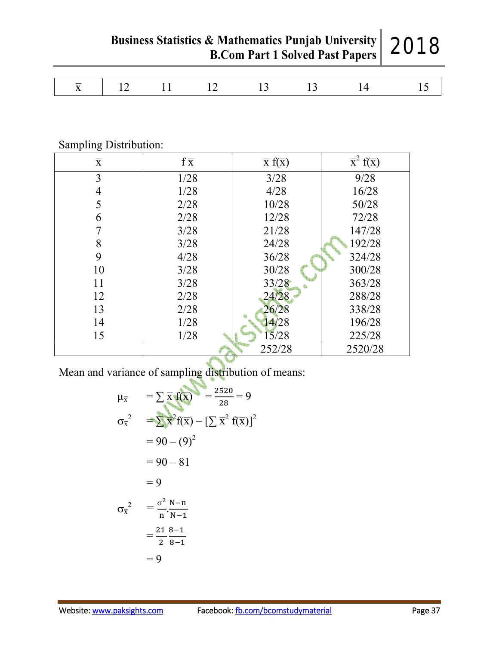2018

**Business Statistics & Mathematics Punjab University B.Com Part 1 Solved Past Papers**

| $\overline{\phantom{a}}$<br>$\overline{\phantom{a}}$ | $\overline{\phantom{a}}$<br>____<br>-- |  |  |  |  |  |  |  |
|------------------------------------------------------|----------------------------------------|--|--|--|--|--|--|--|
|------------------------------------------------------|----------------------------------------|--|--|--|--|--|--|--|

# Sampling Distribution:

| $\overline{\mathbf{X}}$ | $f\overline{x}$ | $\overline{x}$ f( $\overline{x}$ ) | $\overline{x}^2 f(\overline{x})$ |
|-------------------------|-----------------|------------------------------------|----------------------------------|
| 3                       | 1/28            | 3/28                               | 9/28                             |
| 4                       | 1/28            | 4/28                               | 16/28                            |
|                         | 2/28            | 10/28                              | 50/28                            |
| 6                       | 2/28            | 12/28                              | 72/28                            |
|                         | 3/28            | 21/28                              | 147/28                           |
| 8                       | 3/28            | 24/28                              | 192/28                           |
| 9                       | 4/28            | 36/28                              | 324/28                           |
| 10                      | 3/28            | 30/28                              | 300/28                           |
| 11                      | 3/28            | 33/28                              | 363/28                           |
| 12                      | 2/28            | 24/28                              | 288/28                           |
| 13                      | 2/28            | 26/28                              | 338/28                           |
| 14                      | 1/28            | 4/28                               | 196/28                           |
| 15                      | 1/28            | 15/28                              | 225/28                           |
|                         |                 | 252/28                             | 2520/28                          |

Mean and variance of sampling distribution of means:

$$
\mu_{\overline{x}} = \sum \overline{x} f(\overline{x}) = \frac{2520}{28} = 9
$$
  
\n
$$
\sigma_{\overline{x}}^2 = \sum \overline{x}^2 f(\overline{x}) - [\sum \overline{x}^2 f(\overline{x})]^2
$$
  
\n
$$
= 90 - (9)^2
$$
  
\n
$$
= 90 - 81
$$
  
\n
$$
= 9
$$
  
\n
$$
\sigma_{\overline{x}}^2 = \frac{\sigma^2}{n} \cdot \frac{N - n}{N - 1}
$$
  
\n
$$
= \frac{21}{2} \cdot \frac{8 - 1}{8 - 1}
$$
  
\n
$$
= 9
$$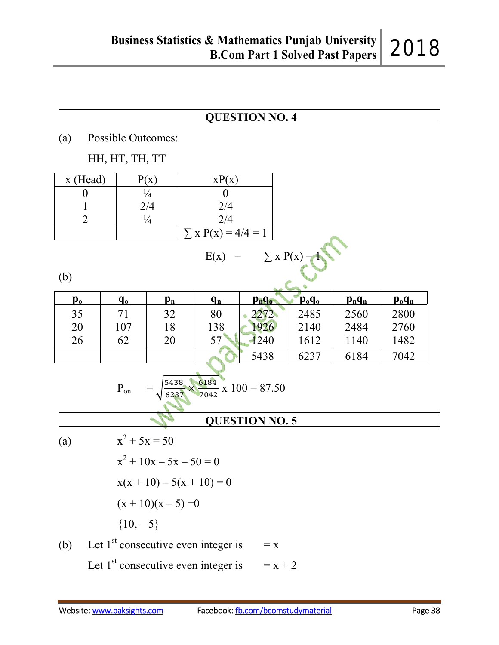#### **QUESTION NO. 4**

(a) Possible Outcomes:

HH, HT, TH, TT

| $x$ (Head) |     | xP(x)                   |  |
|------------|-----|-------------------------|--|
|            |     |                         |  |
|            | 2/4 | 2/4                     |  |
|            |     | 2/4                     |  |
|            |     | $\sum x P(x) = 4/4 = 1$ |  |

 $E(x) = \sum x P(x)$ 

(b)

| $\mathbf{p_o}$ | $\mathbf{q_o}$ | $\mathbf{p}_{\mathbf{n}}$ | $\mathbf{q}_{\mathbf{n}}$ | $p_n q_o$ | $\mathbf{p}_{o}\mathbf{q}_{o}$ | $p_n q_n$ | $p_o q_n$ |
|----------------|----------------|---------------------------|---------------------------|-----------|--------------------------------|-----------|-----------|
| 35             |                | 32                        | 80                        | $2272 -$  | 2485                           | 2560      | 2800      |
| 20             | 107            | 18                        | 138                       | 1926      | 2140                           | 2484      | 2760      |
| 26             | 62             | 20                        | 57                        | 1240      | 1612                           | 1140      | 1482      |
|                |                |                           |                           | 5438      | 6237                           | 6184      | 7042      |

 $P_{on} = \sqrt{\frac{5438}{6237}}$  $\frac{12}{6237}$  $\mathbf{6}$ & 7042  $x 100 = 87.50$ 

## **QUESTION NO. 5**

(a)  
\n
$$
x^{2} + 5x = 50
$$
\n
$$
x^{2} + 10x - 5x - 50 = 0
$$
\n
$$
x(x + 10) - 5(x + 10) = 0
$$
\n
$$
(x + 10)(x - 5) = 0
$$
\n
$$
\{10, -5\}
$$

(b) Let 1<sup>st</sup> consecutive even integer is 
$$
= x
$$
  
\nLet 1<sup>st</sup> consecutive even integer is  $= x + 2$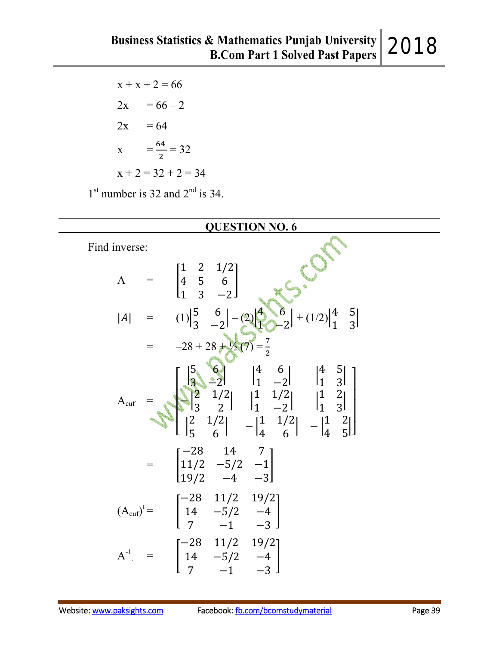$x + x + 2 = 66$  $2x = 66 - 2$  $2x = 64$  $X = \frac{64}{3}$  $\overline{\mathbf{c}}$  $= 32$  $x + 2 = 32 + 2 = 34$  $1<sup>st</sup>$  number is 32 and  $2<sup>nd</sup>$  is 34.

|               | <b>QUESTION NO. 6</b>                                                                                                                                                                                                                                                                        |
|---------------|----------------------------------------------------------------------------------------------------------------------------------------------------------------------------------------------------------------------------------------------------------------------------------------------|
| Find inverse: |                                                                                                                                                                                                                                                                                              |
|               | A = $\begin{bmatrix} 1 & 2 & 1/2 \\ 4 & 5 & 6 \\ 1 & 3 & -2 \end{bmatrix}$<br>$ A $ = $(1)\begin{vmatrix} 5 & 6 \\ 3 & -2 \end{vmatrix} - (2)\begin{vmatrix} 4 & 6 \\ 1 & -2 \end{vmatrix} + (1/2)\begin{vmatrix} 4 & 5 \\ 1 & 3 \end{vmatrix}$<br>= $-28 + 28 + 2\sqrt{2}(7) = \frac{7}{2}$ |
|               |                                                                                                                                                                                                                                                                                              |
|               |                                                                                                                                                                                                                                                                                              |
|               | $A_{\text{cuf}} = \begin{bmatrix} 5 & 6 & 4 & 6 & 4 & 5 \\ 3 & 2 & 1/2 & 1 & 1/2 & 1 & 3 \\ 3 & 2 & 1/2 & 1 & 1/2 & 1 & 2 \\ 2 & 1/2 & 1 & -2 & 1 & 3 \\ 5 & 6 & -1 & 1/2 & -1 & 2 \\ 5 & 6 & 1 & 1/2 & 1/2 & 1 \end{bmatrix}$                                                               |
|               | $=\begin{bmatrix} -28 & 14 & 7 \\ 11/2 & -5/2 & -1 \\ 19/2 & -4 & -3 \end{bmatrix}$                                                                                                                                                                                                          |
|               | $(A_{\text{cuf}})^t =$ $\begin{bmatrix} -28 & 11/2 & 19/2 \\ 14 & -5/2 & -4 \\ 7 & -1 & -3 \end{bmatrix}$                                                                                                                                                                                    |
|               | $A^{-1}$ = $\begin{bmatrix} -28 & 11/2 & 19/2 \\ 14 & -5/2 & -4 \\ 7 & -1 & -3 \end{bmatrix}$                                                                                                                                                                                                |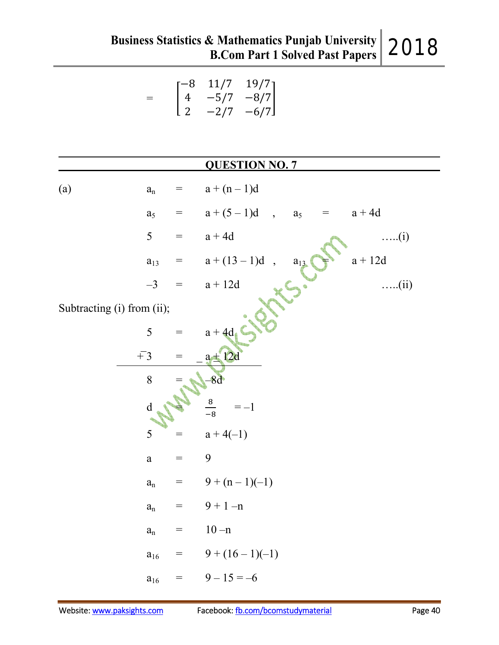$$
= \begin{bmatrix} -8 & 11/7 & 19/7 \\ 4 & -5/7 & -8/7 \\ 2 & -2/7 & -6/7 \end{bmatrix}
$$

|                            |                         |                   | <b>QUESTION NO. 7</b>                                     |
|----------------------------|-------------------------|-------------------|-----------------------------------------------------------|
| (a)                        | $\mathbf{a}_{\rm n}$    |                   | $=$ $a + (n-1)d$                                          |
|                            | a <sub>5</sub>          |                   | $=$ $a + (5-1)d$ , $a_5$<br>$=$ $a + 4d$                  |
|                            | 5                       | $\!\!\!=\!\!\!\!$ | $a + 4d$<br>$\dots(i)$                                    |
|                            | $a_{13}$                |                   | = $a + (13-1)d$ ,<br>= $a + 12d$<br>$a + 12d$<br>$a_{13}$ |
|                            | $-3$                    |                   | $\dots$ (ii)                                              |
| Subtracting (i) from (ii); |                         |                   |                                                           |
|                            | 5                       |                   | $=$ $a + 4d$                                              |
|                            | $\overline{+}3$         | $=$               | $a \pm 12d$                                               |
|                            | 8                       |                   | $-8d$                                                     |
|                            | d                       |                   | $\frac{8}{-8}$<br>$=-1$                                   |
|                            | 5                       | $=$               | $a+4(-1)$                                                 |
|                            | $\rm{a}$                | $=$               | 9                                                         |
|                            | $\mathbf{a}_\mathrm{n}$ |                   | $= 9 + (n-1)(-1)$                                         |
|                            | $a_n$                   |                   | $9 + 1 - n$                                               |
|                            | $a_n$                   | $=$               | $10 - n$                                                  |
|                            | $a_{16}$                | $=$               | $9 + (16 - 1)(-1)$                                        |
|                            | $a_{16}$                | $=$               | $9-15=-6$                                                 |